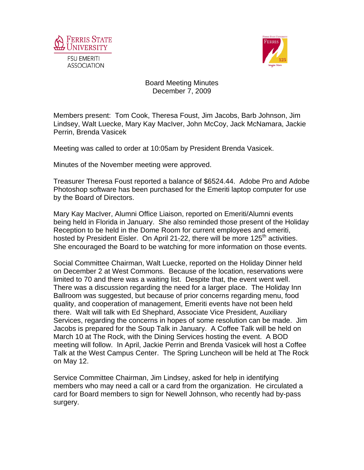



## Board Meeting Minutes December 7, 2009

Members present: Tom Cook, Theresa Foust, Jim Jacobs, Barb Johnson, Jim Lindsey, Walt Luecke, Mary Kay MacIver, John McCoy, Jack McNamara, Jackie Perrin, Brenda Vasicek

Meeting was called to order at 10:05am by President Brenda Vasicek.

Minutes of the November meeting were approved.

Treasurer Theresa Foust reported a balance of \$6524.44. Adobe Pro and Adobe Photoshop software has been purchased for the Emeriti laptop computer for use by the Board of Directors.

Mary Kay MacIver, Alumni Office Liaison, reported on Emeriti/Alumni events being held in Florida in January. She also reminded those present of the Holiday Reception to be held in the Dome Room for current employees and emeriti, hosted by President Eisler. On April 21-22, there will be more 125<sup>th</sup> activities. She encouraged the Board to be watching for more information on those events.

Social Committee Chairman, Walt Luecke, reported on the Holiday Dinner held on December 2 at West Commons. Because of the location, reservations were limited to 70 and there was a waiting list. Despite that, the event went well. There was a discussion regarding the need for a larger place. The Holiday Inn Ballroom was suggested, but because of prior concerns regarding menu, food quality, and cooperation of management, Emeriti events have not been held there. Walt will talk with Ed Shephard, Associate Vice President, Auxiliary Services, regarding the concerns in hopes of some resolution can be made. Jim Jacobs is prepared for the Soup Talk in January. A Coffee Talk will be held on March 10 at The Rock, with the Dining Services hosting the event. A BOD meeting will follow. In April, Jackie Perrin and Brenda Vasicek will host a Coffee Talk at the West Campus Center. The Spring Luncheon will be held at The Rock on May 12.

Service Committee Chairman, Jim Lindsey, asked for help in identifying members who may need a call or a card from the organization. He circulated a card for Board members to sign for Newell Johnson, who recently had by-pass surgery.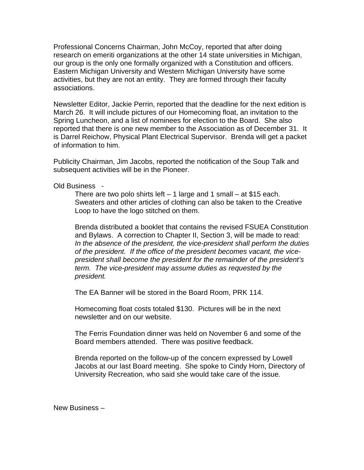Professional Concerns Chairman, John McCoy, reported that after doing research on emeriti organizations at the other 14 state universities in Michigan, our group is the only one formally organized with a Constitution and officers. Eastern Michigan University and Western Michigan University have some activities, but they are not an entity. They are formed through their faculty associations.

Newsletter Editor, Jackie Perrin, reported that the deadline for the next edition is March 26. It will include pictures of our Homecoming float, an invitation to the Spring Luncheon, and a list of nominees for election to the Board. She also reported that there is one new member to the Association as of December 31. It is Darrel Reichow, Physical Plant Electrical Supervisor. Brenda will get a packet of information to him.

Publicity Chairman, Jim Jacobs, reported the notification of the Soup Talk and subsequent activities will be in the Pioneer.

Old Business -

There are two polo shirts left  $-1$  large and 1 small  $-$  at \$15 each. Sweaters and other articles of clothing can also be taken to the Creative Loop to have the logo stitched on them.

Brenda distributed a booklet that contains the revised FSUEA Constitution and Bylaws. A correction to Chapter II, Section 3, will be made to read: *In the absence of the president, the vice-president shall perform the duties of the president. If the office of the president becomes vacant, the vicepresident shall become the president for the remainder of the president's term. The vice-president may assume duties as requested by the president.* 

The EA Banner will be stored in the Board Room, PRK 114.

Homecoming float costs totaled \$130. Pictures will be in the next newsletter and on our website.

The Ferris Foundation dinner was held on November 6 and some of the Board members attended. There was positive feedback.

Brenda reported on the follow-up of the concern expressed by Lowell Jacobs at our last Board meeting. She spoke to Cindy Horn, Directory of University Recreation, who said she would take care of the issue.

New Business –